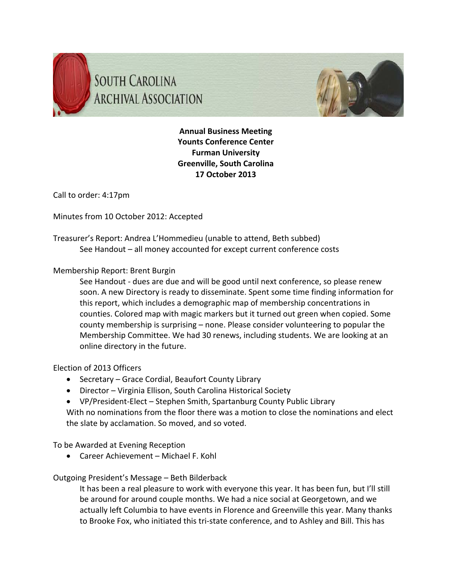



**Annual Business Meeting Younts Conference Center Furman University Greenville, South Carolina 17 October 2013**

Call to order: 4:17pm

Minutes from 10 October 2012: Accepted

Treasurer's Report: Andrea L'Hommedieu (unable to attend, Beth subbed) See Handout – all money accounted for except current conference costs

## Membership Report: Brent Burgin

See Handout ‐ dues are due and will be good until next conference, so please renew soon. A new Directory is ready to disseminate. Spent some time finding information for this report, which includes a demographic map of membership concentrations in counties. Colored map with magic markers but it turned out green when copied. Some county membership is surprising – none. Please consider volunteering to popular the Membership Committee. We had 30 renews, including students. We are looking at an online directory in the future.

## Election of 2013 Officers

- Secretary Grace Cordial, Beaufort County Library
- Director Virginia Ellison, South Carolina Historical Society
- VP/President-Elect Stephen Smith, Spartanburg County Public Library
- With no nominations from the floor there was a motion to close the nominations and elect the slate by acclamation. So moved, and so voted.

To be Awarded at Evening Reception

Career Achievement – Michael F. Kohl

## Outgoing President's Message – Beth Bilderback

It has been a real pleasure to work with everyone this year. It has been fun, but I'll still be around for around couple months. We had a nice social at Georgetown, and we actually left Columbia to have events in Florence and Greenville this year. Many thanks to Brooke Fox, who initiated this tri‐state conference, and to Ashley and Bill. This has